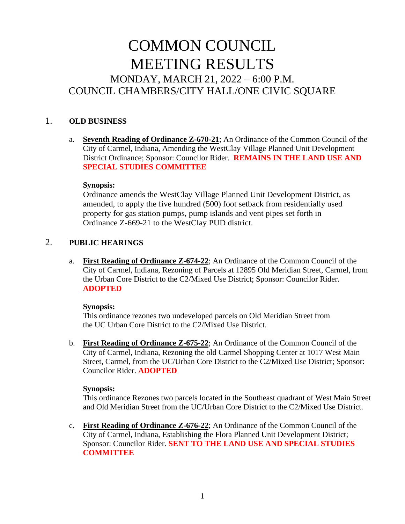# COMMON COUNCIL MEETING RESULTS MONDAY, MARCH 21, 2022 – 6:00 P.M. COUNCIL CHAMBERS/CITY HALL/ONE CIVIC SQUARE

## 1. **OLD BUSINESS**

a. **Seventh Reading of Ordinance Z-670-21**; An Ordinance of the Common Council of the City of Carmel, Indiana, Amending the WestClay Village Planned Unit Development District Ordinance; Sponsor: Councilor Rider. **REMAINS IN THE LAND USE AND SPECIAL STUDIES COMMITTEE**

#### **Synopsis:**

Ordinance amends the WestClay Village Planned Unit Development District, as amended, to apply the five hundred (500) foot setback from residentially used property for gas station pumps, pump islands and vent pipes set forth in Ordinance Z-669-21 to the WestClay PUD district.

## 2. **PUBLIC HEARINGS**

a. **First Reading of Ordinance Z-674-22**; An Ordinance of the Common Council of the City of Carmel, Indiana, Rezoning of Parcels at 12895 Old Meridian Street, Carmel, from the Urban Core District to the C2/Mixed Use District; Sponsor: Councilor Rider. **ADOPTED**

#### **Synopsis:**

This ordinance rezones two undeveloped parcels on Old Meridian Street from the UC Urban Core District to the C2/Mixed Use District.

b. **First Reading of Ordinance Z-675-22**; An Ordinance of the Common Council of the City of Carmel, Indiana, Rezoning the old Carmel Shopping Center at 1017 West Main Street, Carmel, from the UC/Urban Core District to the C2/Mixed Use District; Sponsor: Councilor Rider. **ADOPTED**

#### **Synopsis:**

This ordinance Rezones two parcels located in the Southeast quadrant of West Main Street and Old Meridian Street from the UC/Urban Core District to the C2/Mixed Use District.

c. **First Reading of Ordinance Z-676-22**; An Ordinance of the Common Council of the City of Carmel, Indiana, Establishing the Flora Planned Unit Development District; Sponsor: Councilor Rider. **SENT TO THE LAND USE AND SPECIAL STUDIES COMMITTEE**